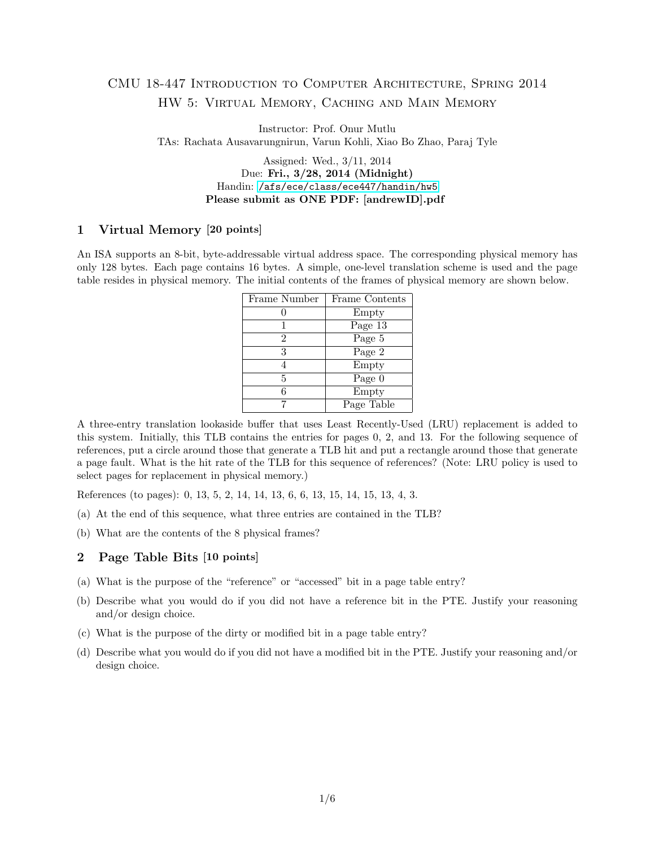# CMU 18-447 Introduction to Computer Architecture, Spring 2014 HW 5: Virtual Memory, Caching and Main Memory

Instructor: Prof. Onur Mutlu TAs: Rachata Ausavarungnirun, Varun Kohli, Xiao Bo Zhao, Paraj Tyle

> Assigned: Wed., 3/11, 2014 Due: Fri., 3/28, 2014 (Midnight) Handin: </afs/ece/class/ece447/handin/hw5> Please submit as ONE PDF: [andrewID].pdf

### 1 Virtual Memory [20 points]

An ISA supports an 8-bit, byte-addressable virtual address space. The corresponding physical memory has only 128 bytes. Each page contains 16 bytes. A simple, one-level translation scheme is used and the page table resides in physical memory. The initial contents of the frames of physical memory are shown below.

| Frame Number | Frame Contents |  |
|--------------|----------------|--|
|              | Empty          |  |
|              | Page 13        |  |
| 2            | Page 5         |  |
| 3            | Page 2         |  |
|              | Empty          |  |
| 5            | Page 0         |  |
| 6            | Empty          |  |
|              | Page Table     |  |

A three-entry translation lookaside buffer that uses Least Recently-Used (LRU) replacement is added to this system. Initially, this TLB contains the entries for pages 0, 2, and 13. For the following sequence of references, put a circle around those that generate a TLB hit and put a rectangle around those that generate a page fault. What is the hit rate of the TLB for this sequence of references? (Note: LRU policy is used to select pages for replacement in physical memory.)

References (to pages): 0, 13, 5, 2, 14, 14, 13, 6, 6, 13, 15, 14, 15, 13, 4, 3.

- (a) At the end of this sequence, what three entries are contained in the TLB?
- (b) What are the contents of the 8 physical frames?

### 2 Page Table Bits [10 points]

- (a) What is the purpose of the "reference" or "accessed" bit in a page table entry?
- (b) Describe what you would do if you did not have a reference bit in the PTE. Justify your reasoning and/or design choice.
- (c) What is the purpose of the dirty or modified bit in a page table entry?
- (d) Describe what you would do if you did not have a modified bit in the PTE. Justify your reasoning and/or design choice.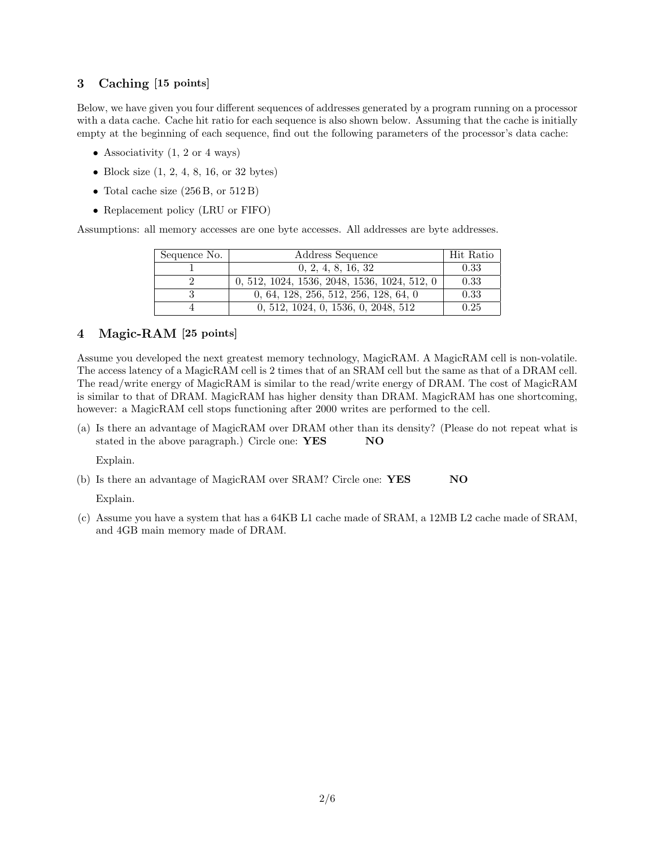# 3 Caching [15 points]

Below, we have given you four different sequences of addresses generated by a program running on a processor with a data cache. Cache hit ratio for each sequence is also shown below. Assuming that the cache is initially empty at the beginning of each sequence, find out the following parameters of the processor's data cache:

- Associativity  $(1, 2 \text{ or } 4 \text{ ways})$
- Block size  $(1, 2, 4, 8, 16, \text{ or } 32 \text{ bytes})$
- Total cache size  $(256B, \text{ or } 512B)$
- Replacement policy (LRU or FIFO)

Assumptions: all memory accesses are one byte accesses. All addresses are byte addresses.

| Sequence No. | Address Sequence                             | Hit Ratio |
|--------------|----------------------------------------------|-----------|
|              | 0, 2, 4, 8, 16, 32                           | 0.33      |
|              | 0, 512, 1024, 1536, 2048, 1536, 1024, 512, 0 | 0.33      |
|              | 0, 64, 128, 256, 512, 256, 128, 64, 0        | 0.33      |
|              | 0, 512, 1024, 0, 1536, 0, 2048, 512          | 0.25      |

### 4 Magic-RAM [25 points]

Assume you developed the next greatest memory technology, MagicRAM. A MagicRAM cell is non-volatile. The access latency of a MagicRAM cell is 2 times that of an SRAM cell but the same as that of a DRAM cell. The read/write energy of MagicRAM is similar to the read/write energy of DRAM. The cost of MagicRAM is similar to that of DRAM. MagicRAM has higher density than DRAM. MagicRAM has one shortcoming, however: a MagicRAM cell stops functioning after 2000 writes are performed to the cell.

(a) Is there an advantage of MagicRAM over DRAM other than its density? (Please do not repeat what is stated in the above paragraph.) Circle one: **YES** NO

Explain.

(b) Is there an advantage of MagicRAM over SRAM? Circle one: **YES** NO

Explain.

(c) Assume you have a system that has a 64KB L1 cache made of SRAM, a 12MB L2 cache made of SRAM, and 4GB main memory made of DRAM.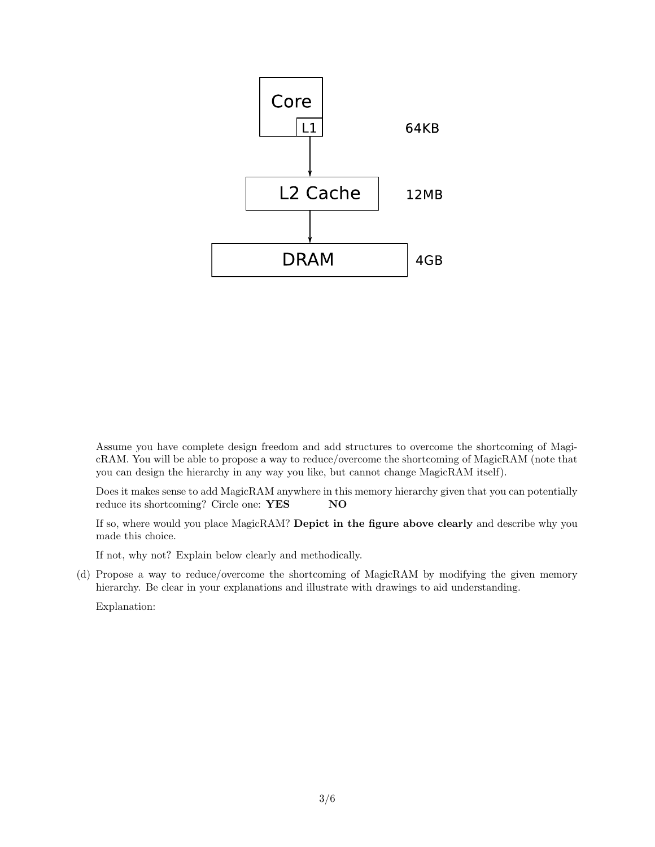

Assume you have complete design freedom and add structures to overcome the shortcoming of MagicRAM. You will be able to propose a way to reduce/overcome the shortcoming of MagicRAM (note that you can design the hierarchy in any way you like, but cannot change MagicRAM itself).

Does it makes sense to add MagicRAM anywhere in this memory hierarchy given that you can potentially reduce its shortcoming? Circle one: **YES** NO

If so, where would you place MagicRAM? Depict in the figure above clearly and describe why you made this choice.

If not, why not? Explain below clearly and methodically.

(d) Propose a way to reduce/overcome the shortcoming of MagicRAM by modifying the given memory hierarchy. Be clear in your explanations and illustrate with drawings to aid understanding.

Explanation: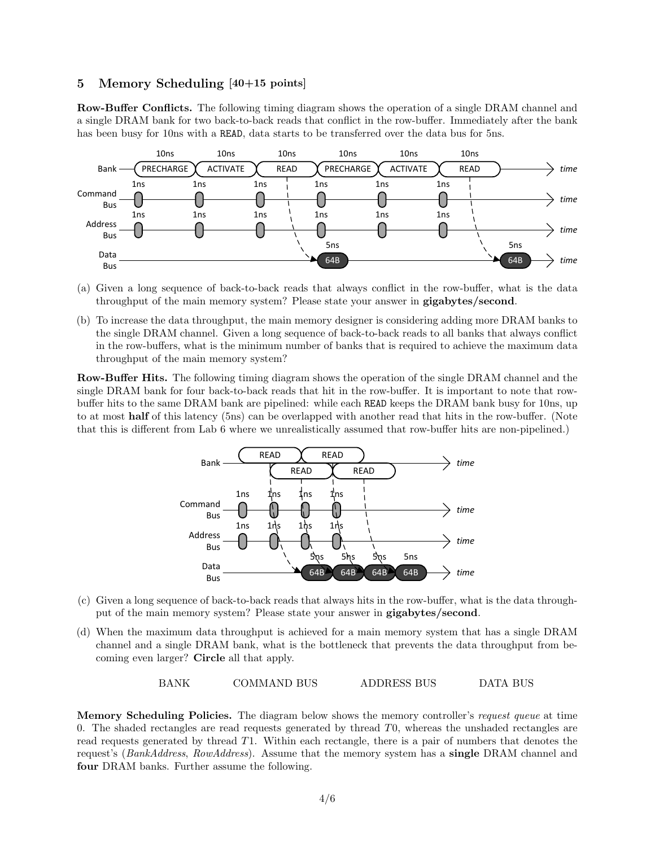### 5 Memory Scheduling [40+15 points]

Row-Buffer Conflicts. The following timing diagram shows the operation of a single DRAM channel and a single DRAM bank for two back-to-back reads that conflict in the row-buffer. Immediately after the bank has been busy for 10ns with a READ, data starts to be transferred over the data bus for 5ns.



- (a) Given a long sequence of back-to-back reads that always conflict in the row-buffer, what is the data throughput of the main memory system? Please state your answer in **gigabytes**/second.
- (b) To increase the data throughput, the main memory designer is considering adding more DRAM banks to the single DRAM channel. Given a long sequence of back-to-back reads to all banks that always conflict in the row-buffers, what is the minimum number of banks that is required to achieve the maximum data throughput of the main memory system?

Row-Buffer Hits. The following timing diagram shows the operation of the single DRAM channel and the single DRAM bank for four back-to-back reads that hit in the row-buffer. It is important to note that rowbuffer hits to the same DRAM bank are pipelined: while each READ keeps the DRAM bank busy for 10ns, up to at most half of this latency (5ns) can be overlapped with another read that hits in the row-buffer. (Note that this is different from Lab 6 where we unrealistically assumed that row-buffer hits are non-pipelined.)



- (c) Given a long sequence of back-to-back reads that always hits in the row-buffer, what is the data throughput of the main memory system? Please state your answer in **gigabytes/second.**
- (d) When the maximum data throughput is achieved for a main memory system that has a single DRAM channel and a single DRAM bank, what is the bottleneck that prevents the data throughput from becoming even larger? Circle all that apply.

BANK COMMAND BUS ADDRESS BUS DATA BUS

Memory Scheduling Policies. The diagram below shows the memory controller's request queue at time 0. The shaded rectangles are read requests generated by thread T0, whereas the unshaded rectangles are read requests generated by thread T1. Within each rectangle, there is a pair of numbers that denotes the request's (BankAddress, RowAddress). Assume that the memory system has a single DRAM channel and four DRAM banks. Further assume the following.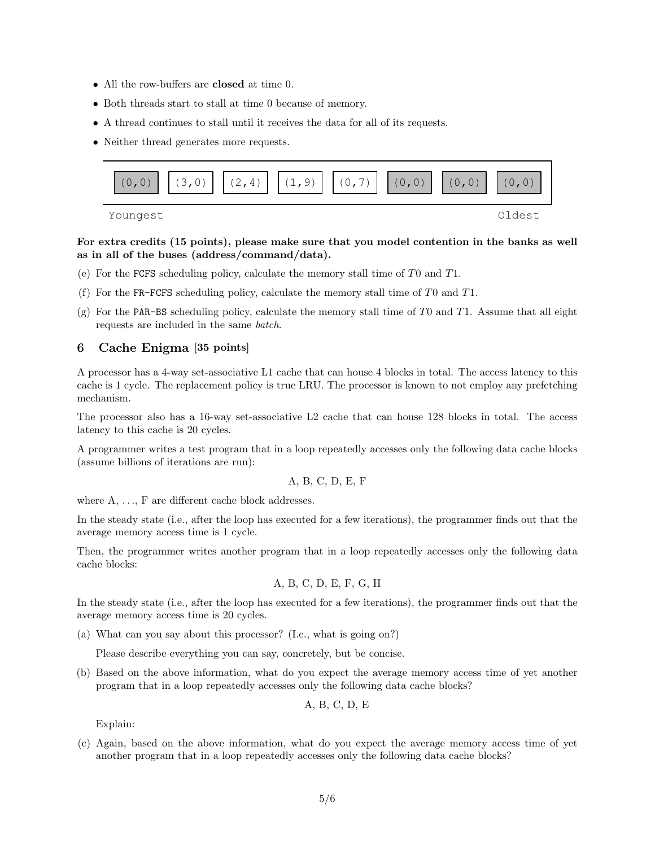- All the row-buffers are **closed** at time 0.
- Both threads start to stall at time 0 because of memory.
- A thread continues to stall until it receives the data for all of its requests.
- Neither thread generates more requests.



For extra credits (15 points), please make sure that you model contention in the banks as well as in all of the buses (address/command/data).

- (e) For the FCFS scheduling policy, calculate the memory stall time of T0 and T1.
- (f) For the FR-FCFS scheduling policy, calculate the memory stall time of  $T0$  and  $T1$ .
- (g) For the PAR-BS scheduling policy, calculate the memory stall time of T0 and T1. Assume that all eight requests are included in the same batch.

#### 6 Cache Enigma [35 points]

A processor has a 4-way set-associative L1 cache that can house 4 blocks in total. The access latency to this cache is 1 cycle. The replacement policy is true LRU. The processor is known to not employ any prefetching mechanism.

The processor also has a 16-way set-associative L2 cache that can house 128 blocks in total. The access latency to this cache is 20 cycles.

A programmer writes a test program that in a loop repeatedly accesses only the following data cache blocks (assume billions of iterations are run):

$$
A, B, C, D, E, F
$$

where  $A, \ldots, F$  are different cache block addresses.

In the steady state (i.e., after the loop has executed for a few iterations), the programmer finds out that the average memory access time is 1 cycle.

Then, the programmer writes another program that in a loop repeatedly accesses only the following data cache blocks:

A, B, C, D, E, F, G, H

In the steady state (i.e., after the loop has executed for a few iterations), the programmer finds out that the average memory access time is 20 cycles.

(a) What can you say about this processor? (I.e., what is going on?)

Please describe everything you can say, concretely, but be concise.

(b) Based on the above information, what do you expect the average memory access time of yet another program that in a loop repeatedly accesses only the following data cache blocks?

$$
A, B, C, D, E
$$

Explain:

(c) Again, based on the above information, what do you expect the average memory access time of yet another program that in a loop repeatedly accesses only the following data cache blocks?